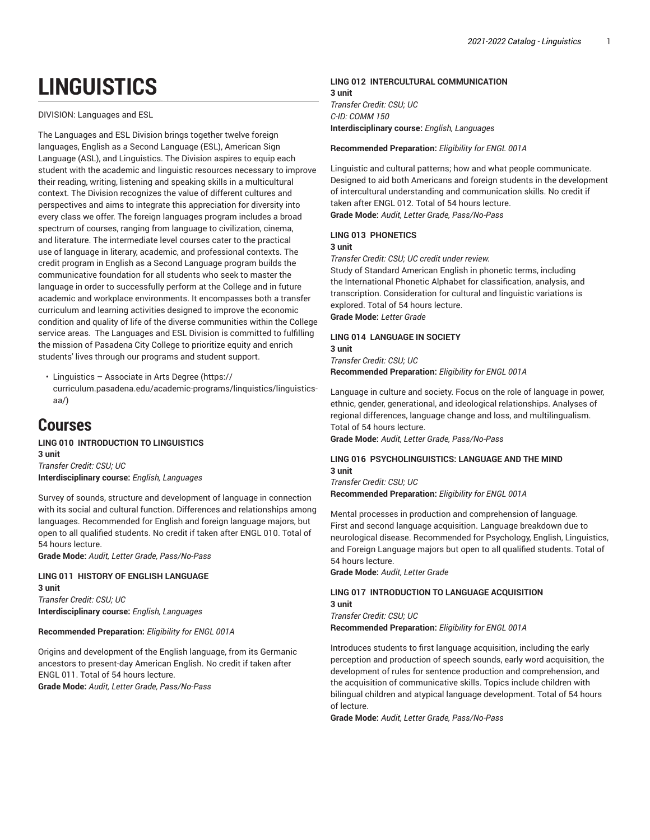# **LINGUISTICS**

DIVISION: Languages and ESL

The Languages and ESL Division brings together twelve foreign languages, English as a Second Language (ESL), American Sign Language (ASL), and Linguistics. The Division aspires to equip each student with the academic and linguistic resources necessary to improve their reading, writing, listening and speaking skills in a multicultural context. The Division recognizes the value of different cultures and perspectives and aims to integrate this appreciation for diversity into every class we offer. The foreign languages program includes a broad spectrum of courses, ranging from language to civilization, cinema, and literature. The intermediate level courses cater to the practical use of language in literary, academic, and professional contexts. The credit program in English as a Second Language program builds the communicative foundation for all students who seek to master the language in order to successfully perform at the College and in future academic and workplace environments. It encompasses both a transfer curriculum and learning activities designed to improve the economic condition and quality of life of the diverse communities within the College service areas. The Languages and ESL Division is committed to fulfilling the mission of Pasadena City College to prioritize equity and enrich students' lives through our programs and student support.

• [Linguistics](https://curriculum.pasadena.edu/academic-programs/linquistics/linguistics-aa/) – Associate in Arts Degree ([https://](https://curriculum.pasadena.edu/academic-programs/linquistics/linguistics-aa/) [curriculum.pasadena.edu/academic-programs/linquistics/linguistics](https://curriculum.pasadena.edu/academic-programs/linquistics/linguistics-aa/)[aa/](https://curriculum.pasadena.edu/academic-programs/linquistics/linguistics-aa/))

## **Courses**

**LING 010 INTRODUCTION TO LINGUISTICS 3 unit** *Transfer Credit: CSU; UC* **Interdisciplinary course:** *English, Languages*

Survey of sounds, structure and development of language in connection with its social and cultural function. Differences and relationships among languages. Recommended for English and foreign language majors, but open to all qualified students. No credit if taken after ENGL 010. Total of 54 hours lecture.

**Grade Mode:** *Audit, Letter Grade, Pass/No-Pass*

#### **LING 011 HISTORY OF ENGLISH LANGUAGE 3 unit**

*Transfer Credit: CSU; UC* **Interdisciplinary course:** *English, Languages*

#### **Recommended Preparation:** *Eligibility for ENGL 001A*

Origins and development of the English language, from its Germanic ancestors to present-day American English. No credit if taken after ENGL 011. Total of 54 hours lecture. **Grade Mode:** *Audit, Letter Grade, Pass/No-Pass*

### **LING 012 INTERCULTURAL COMMUNICATION 3 unit**

*Transfer Credit: CSU; UC C-ID: COMM 150* **Interdisciplinary course:** *English, Languages*

**Recommended Preparation:** *Eligibility for ENGL 001A*

Linguistic and cultural patterns; how and what people communicate. Designed to aid both Americans and foreign students in the development of intercultural understanding and communication skills. No credit if taken after ENGL 012. Total of 54 hours lecture. **Grade Mode:** *Audit, Letter Grade, Pass/No-Pass*

#### **LING 013 PHONETICS**

#### **3 unit**

*Transfer Credit: CSU; UC credit under review.*

Study of Standard American English in phonetic terms, including the International Phonetic Alphabet for classification, analysis, and transcription. Consideration for cultural and linguistic variations is explored. Total of 54 hours lecture. **Grade Mode:** *Letter Grade*

#### **LING 014 LANGUAGE IN SOCIETY 3 unit**

*Transfer Credit: CSU; UC* **Recommended Preparation:** *Eligibility for ENGL 001A*

Language in culture and society. Focus on the role of language in power, ethnic, gender, generational, and ideological relationships. Analyses of regional differences, language change and loss, and multilingualism. Total of 54 hours lecture.

**Grade Mode:** *Audit, Letter Grade, Pass/No-Pass*

#### **LING 016 PSYCHOLINGUISTICS: LANGUAGE AND THE MIND 3 unit**

*Transfer Credit: CSU; UC* **Recommended Preparation:** *Eligibility for ENGL 001A*

Mental processes in production and comprehension of language. First and second language acquisition. Language breakdown due to neurological disease. Recommended for Psychology, English, Linguistics, and Foreign Language majors but open to all qualified students. Total of 54 hours lecture.

**Grade Mode:** *Audit, Letter Grade*

#### **LING 017 INTRODUCTION TO LANGUAGE ACQUISITION 3 unit** *Transfer Credit: CSU; UC*

**Recommended Preparation:** *Eligibility for ENGL 001A*

Introduces students to first language acquisition, including the early perception and production of speech sounds, early word acquisition, the development of rules for sentence production and comprehension, and the acquisition of communicative skills. Topics include children with bilingual children and atypical language development. Total of 54 hours of lecture.

**Grade Mode:** *Audit, Letter Grade, Pass/No-Pass*